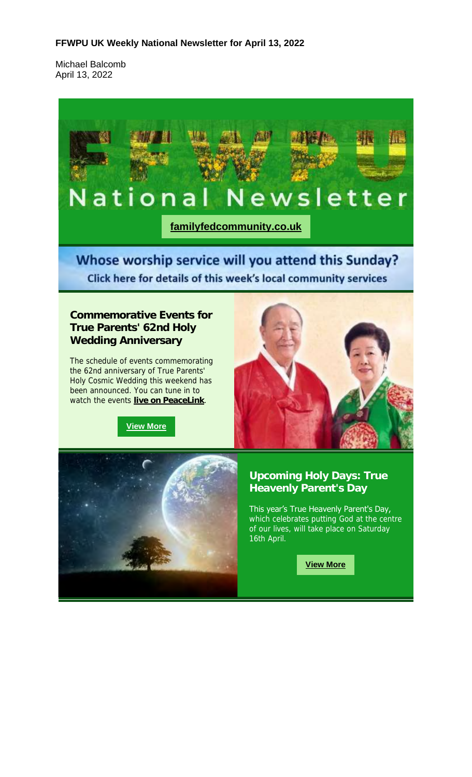#### **FFWPU UK Weekly National Newsletter for April 13, 2022**

Michael Balcomb April 13, 2022

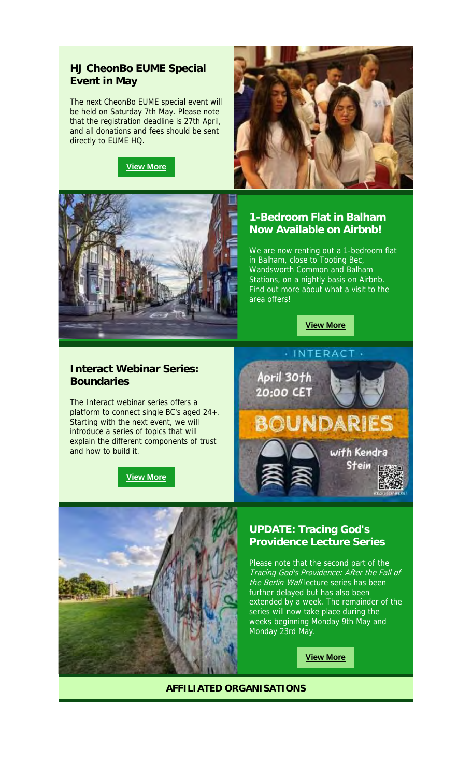### **HJ CheonBo EUME Special Event in May**

The next CheonBo EUME special event will be held on Saturday 7th May. Please note that the registration deadline is 27th April, and all donations and fees should be sent directly to EUME HQ.

![](_page_1_Picture_2.jpeg)

![](_page_1_Picture_3.jpeg)

![](_page_1_Picture_4.jpeg)

# **1-Bedroom Flat in Balham Now Available on Airbnb!**

We are now renting out a 1-bedroom flat in Balham, close to Tooting Bec, Wandsworth Common and Balham Stations, on a nightly basis on Airbnb. Find out more about what a visit to the area offers!

![](_page_1_Picture_7.jpeg)

### **Interact Webinar Series: Boundaries**

The Interact webinar series offers a platform to connect single BC's aged 24+. Starting with the next event, we will introduce a series of topics that will explain the different components of trust and how to build it.

![](_page_1_Picture_10.jpeg)

![](_page_1_Picture_11.jpeg)

![](_page_1_Picture_12.jpeg)

## **UPDATE: Tracing God's Providence Lecture Series**

Please note that the second part of the Tracing God's Providence: After the Fall of the Berlin Wall lecture series has been further delayed but has also been extended by a week. The remainder of the series will now take place during the weeks beginning Monday 9th May and Monday 23rd May.

**View More**

**AFFILIATED ORGANISATIONS**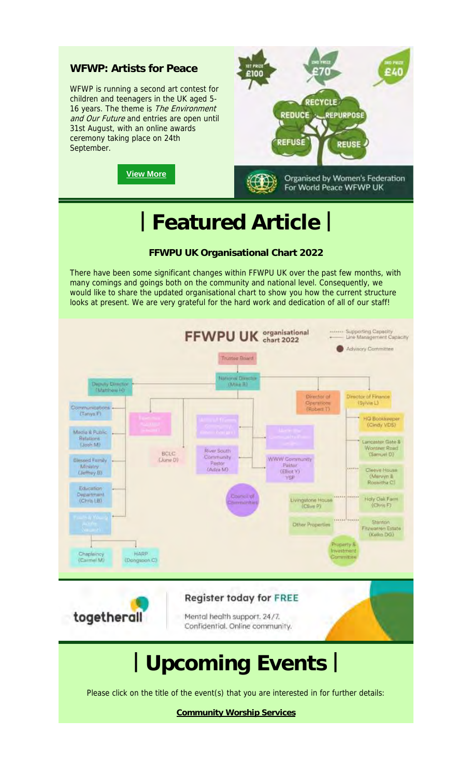![](_page_2_Picture_0.jpeg)